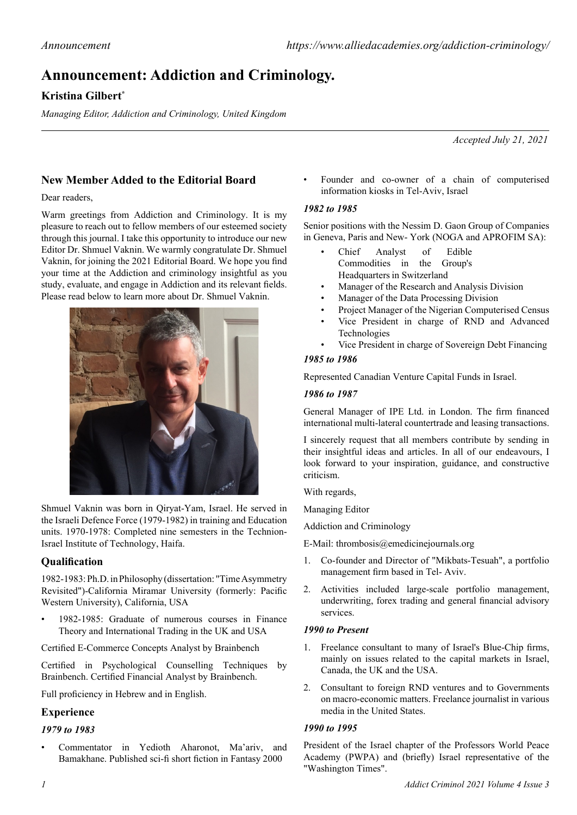# **Announcement: Addiction and Criminology.**

# **Kristina Gilbert\***

*Managing Editor, Addiction and Criminology, United Kingdom*

*Accepted July 21, 2021*

# **New Member Added to the Editorial Board**

## Dear readers,

Warm greetings from Addiction and Criminology. It is my pleasure to reach out to fellow members of our esteemed society through this journal. I take this opportunity to introduce our new Editor Dr. Shmuel Vaknin. We warmly congratulate Dr. Shmuel Vaknin, for joining the 2021 Editorial Board. We hope you find your time at the Addiction and criminology insightful as you study, evaluate, and engage in Addiction and its relevant fields. Please read below to learn more about Dr. Shmuel Vaknin.



Shmuel Vaknin was born in Qiryat-Yam, Israel. He served in the Israeli Defence Force (1979-1982) in training and Education units. 1970-1978: Completed nine semesters in the Technion-Israel Institute of Technology, Haifa.

# **Qualification**

1982-1983: [Ph.D. in Philosophy](http://samvak.tripod.com/vakninphddiploma.jpg) [\(dissertation:](http://lccn.loc.gov/85133690) ["Time Asymmetry](http://samvak.tripod.com/time.html) [Revisited"](http://samvak.tripod.com/time.html))[-California Miramar University](http://en.wikipedia.org/wiki/California_Miramar_University) (formerly: [Pacific](http://samvak.tripod.com/rebuttal.html) [Western University\)](http://samvak.tripod.com/rebuttal.html), California, USA

• 1982-1985: Graduate of numerous courses in Finance Theory and International Trading in the UK and USA

Certified [E-Commerce Concepts Analyst](http://samvak.tripod.com/certifications.zip) by Brainbench

Certified in [Psychological Counselling Techniques](http://samvak.tripod.com/certifications.zip) by [Brainbench.](http://www.brainbench.com/xml/bb/business/aboutus/aboutus.xml) [Certified Financial Analyst](http://samvak.tripod.com/certifications.zip) by [Brainbench.](http://www.brainbench.com/xml/bb/business/aboutus/aboutus.xml)

Full proficiency in Hebrew and in English.

# **Experience**

## *1979 to 1983*

• Commentator in Yedioth Aharonot, Ma'ariv, and Bamakhane. Published sci-fi short fiction in Fantasy 2000

• Founder and co-owner of a chain of computerised information kiosks in Tel-Aviv, Israel

# *1982 to 1985*

Senior positions with the Nessim D. Gaon Group of Companies in Geneva, Paris and New- York (NOGA and APROFIM SA):

- Chief Analyst of Edible Commodities in the Group's Headquarters in Switzerland
- Manager of the Research and Analysis Division
- Manager of the Data Processing Division
- Project Manager of the Nigerian Computerised Census
- Vice President in charge of RND and Advanced Technologies
- Vice President in charge of Sovereign Debt Financing

# *1985 to 1986*

Represented Canadian Venture Capital Funds in Israel.

# *1986 to 1987*

General Manager of IPE Ltd. in London. The firm financed international multi-lateral countertrade and leasing transactions.

I sincerely request that all members contribute by sending in their insightful ideas and articles. In all of our endeavours, I look forward to your inspiration, guidance, and constructive criticism.

With regards,

Managing Editor

Addiction and Criminology

E-Mail: thrombosis@emedicinejournals.org

- 1. Co-founder and Director of "Mikbats-Tesuah", a portfolio management firm based in Tel- Aviv.
- 2. Activities included large-scale portfolio management, underwriting, forex trading and general financial advisory services.

## *1990 to Present*

- 1. Freelance consultant to many of Israel's Blue-Chip firms, mainly on issues related to the capital markets in Israel, Canada, the UK and the USA.
- 2. Consultant to foreign RND ventures and to Governments on macro-economic matters. Freelance journalist in various media in the United States.

# *1990 to 1995*

President of the Israel chapter of the Professors World Peace Academy (PWPA) and (briefly) Israel representative of the "Washington Times".